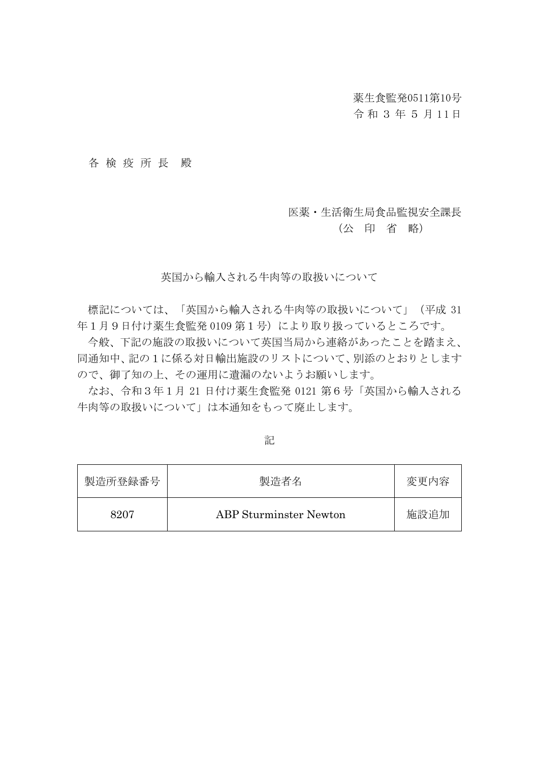薬生食監発0511第10号

令 和 3 年 5 月 1 1日

## 各 検 疫 所 長 殿

## 医薬・生活衛生局食品監視安全課長

## (公 印 省 略)

## 英国から輸入される牛肉等の取扱いについて

標記については、「英国から輸入される牛肉等の取扱いについて」(平成 31 年1月9日付け薬生食監発 0109 第1号)により取り扱っているところです。

今般、下記の施設の取扱いについて英国当局から連絡があったことを踏まえ、 同通知中、記の1に係る対日輸出施設のリストについて、別添のとおりとします ので、御了知の上、その運用に遺漏のないようお願いします。

なお、令和3年1月 21 日付け薬生食監発 0121 第6号「英国から輸入される 牛肉等の取扱いについて」は本通知をもって廃止します。

| 製造所登録番号 | 製造者名                          | 変更内容 |
|---------|-------------------------------|------|
| 8207    | <b>ABP</b> Sturminster Newton | 施設追加 |

記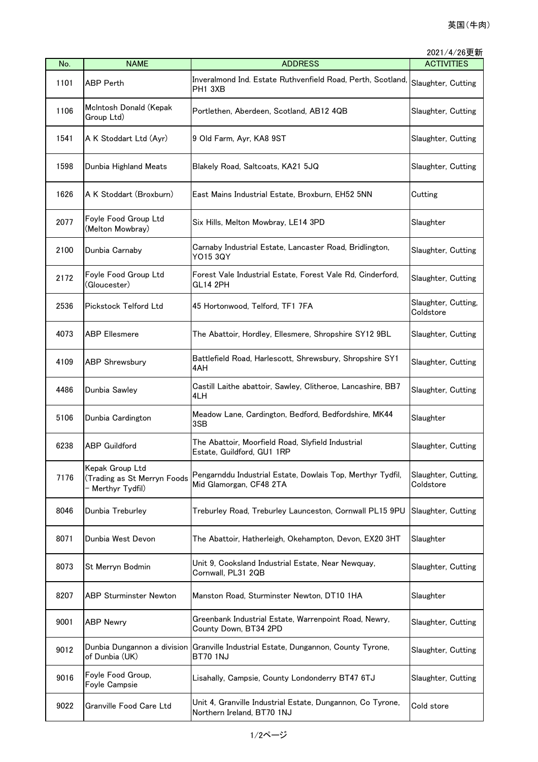|      | 2021/4/26更新                                                         |                                                                                                     |                                  |  |  |  |
|------|---------------------------------------------------------------------|-----------------------------------------------------------------------------------------------------|----------------------------------|--|--|--|
| No.  | <b>NAME</b>                                                         | <b>ADDRESS</b>                                                                                      | <b>ACTIVITIES</b>                |  |  |  |
| 1101 | <b>ABP Perth</b>                                                    | Inveralmond Ind. Estate Ruthvenfield Road, Perth, Scotland,<br>PH1 3XB                              | Slaughter, Cutting               |  |  |  |
| 1106 | McIntosh Donald (Kepak<br>Group Ltd)                                | Portlethen, Aberdeen, Scotland, AB12 4QB                                                            | Slaughter, Cutting               |  |  |  |
| 1541 | A K Stoddart Ltd (Ayr)                                              | 9 Old Farm, Ayr, KA8 9ST                                                                            | Slaughter, Cutting               |  |  |  |
| 1598 | Dunbia Highland Meats                                               | Blakely Road, Saltcoats, KA21 5JQ                                                                   | Slaughter, Cutting               |  |  |  |
| 1626 | A K Stoddart (Broxburn)                                             | East Mains Industrial Estate, Broxburn, EH52 5NN                                                    | Cutting                          |  |  |  |
| 2077 | Foyle Food Group Ltd<br>(Melton Mowbray)                            | Six Hills, Melton Mowbray, LE14 3PD                                                                 | Slaughter                        |  |  |  |
| 2100 | Dunbia Carnaby                                                      | Carnaby Industrial Estate, Lancaster Road, Bridlington,<br>Slaughter, Cutting<br>YO15 3QY           |                                  |  |  |  |
| 2172 | Foyle Food Group Ltd<br>(Gloucester)                                | Forest Vale Industrial Estate, Forest Vale Rd, Cinderford,<br>Slaughter, Cutting<br><b>GL14 2PH</b> |                                  |  |  |  |
| 2536 | Pickstock Telford Ltd                                               | 45 Hortonwood, Telford, TF1 7FA                                                                     | Slaughter, Cutting,<br>Coldstore |  |  |  |
| 4073 | <b>ABP Ellesmere</b>                                                | The Abattoir, Hordley, Ellesmere, Shropshire SY12 9BL                                               | Slaughter, Cutting               |  |  |  |
| 4109 | <b>ABP Shrewsbury</b>                                               | Battlefield Road, Harlescott, Shrewsbury, Shropshire SY1<br>4AH                                     | Slaughter, Cutting               |  |  |  |
| 4486 | Dunbia Sawley                                                       | Castill Laithe abattoir, Sawley, Clitheroe, Lancashire, BB7<br>4LH                                  | Slaughter, Cutting               |  |  |  |
| 5106 | Dunbia Cardington                                                   | Meadow Lane, Cardington, Bedford, Bedfordshire, MK44<br>3SB                                         | Slaughter                        |  |  |  |
| 6238 | <b>ABP Guildford</b>                                                | The Abattoir, Moorfield Road, Slyfield Industrial<br>Estate, Guildford, GU1 1RP                     | Slaughter, Cutting               |  |  |  |
| 7176 | Kepak Group Ltd<br>(Trading as St Merryn Foods<br>– Merthyr Tydfil) | Pengarnddu Industrial Estate, Dowlais Top, Merthyr Tydfil,<br>Mid Glamorgan, CF48 2TA               | Slaughter, Cutting,<br>Coldstore |  |  |  |
| 8046 | Dunbia Treburley                                                    | Treburley Road, Treburley Launceston, Cornwall PL15 9PU                                             | Slaughter, Cutting               |  |  |  |
| 8071 | Dunbia West Devon                                                   | The Abattoir, Hatherleigh, Okehampton, Devon, EX20 3HT                                              | Slaughter                        |  |  |  |
| 8073 | St Merryn Bodmin                                                    | Unit 9, Cooksland Industrial Estate, Near Newquay,<br>Cornwall, PL31 2QB                            | Slaughter, Cutting               |  |  |  |
| 8207 | <b>ABP Sturminster Newton</b>                                       | Manston Road, Sturminster Newton, DT10 1HA                                                          | Slaughter                        |  |  |  |
| 9001 | <b>ABP Newry</b>                                                    | Greenbank Industrial Estate, Warrenpoint Road, Newry,<br>County Down, BT34 2PD                      | Slaughter, Cutting               |  |  |  |
| 9012 | Dunbia Dungannon a division<br>of Dunbia (UK)                       | Granville Industrial Estate, Dungannon, County Tyrone,<br><b>BT70 1NJ</b>                           | Slaughter, Cutting               |  |  |  |
| 9016 | Foyle Food Group,<br>Foyle Campsie                                  | Lisahally, Campsie, County Londonderry BT47 6TJ                                                     | Slaughter, Cutting               |  |  |  |
| 9022 | Granville Food Care Ltd                                             | Unit 4, Granville Industrial Estate, Dungannon, Co Tyrone,<br>Northern Ireland, BT70 1NJ            | Cold store                       |  |  |  |